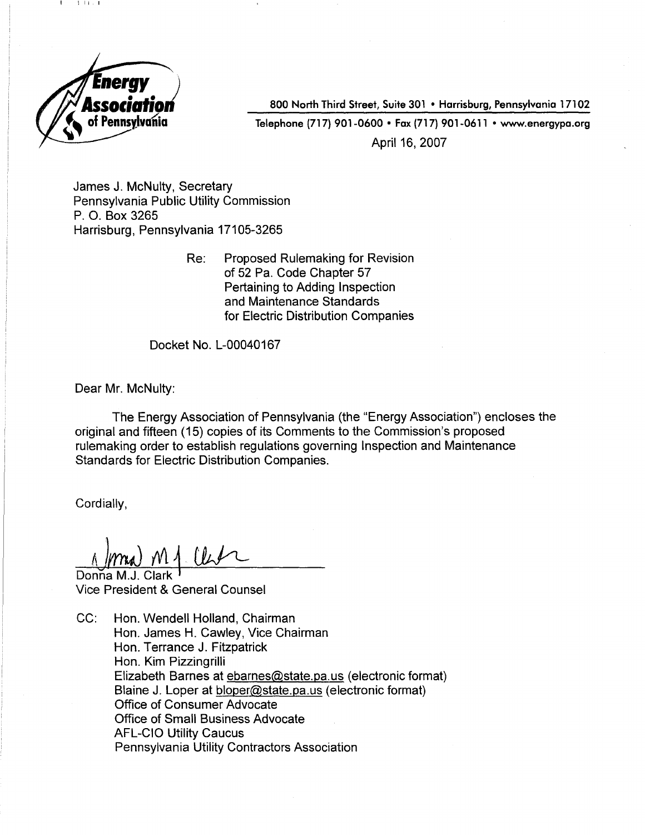

 $\cdots$ 

800 North Third Street, Suite 301 . Harrisburg, Pennsylvania 17102 Telephone (717) 901-0600 · Fax (717) 901-0611 · www.energypa.org April 16, 2007

James J. McNulty, Secretary Pennsylvania Public Utility Commission P. O. Box 3265 Harrisburg, Pennsylvania 17105-3265

> Re: Proposed Rulemaking for Revision of 52 Pa. Code Chapter 57 Pertaining to Adding Inspection and Maintenance Standards for Electric Distribution Companies

Docket No. L-00040167

Dear Mr. McNulty:

The Energy Association of Pennsylvania (the "Energy Association") encloses the original and fifteen (15) copies of its Comments to the Commission's proposed rulemaking order to establish regulations governing Inspection and Maintenance Standards for Electric Distribution Companies.

Cordially,

 $\Lambda$  )  $m_A$   $m_A$  the

Donna M. Vice President & General Counsel

CC: Hon. Wendell Holland, Chairman Hon. James H. Cawley, Vice Chairman Hon. Terrance J. Fitzpatrick Hon. Kim Pizzingrilli Elizabeth Barnes at ebarnes@state.pa.us (electronic format) Blaine J. Loper at bloper@state.pa.us (electronic format) Office of Consumer Advocate Office of Small Business Advocate AFL-CIO Utility Caucus Pennsylvania Utility Contractors Association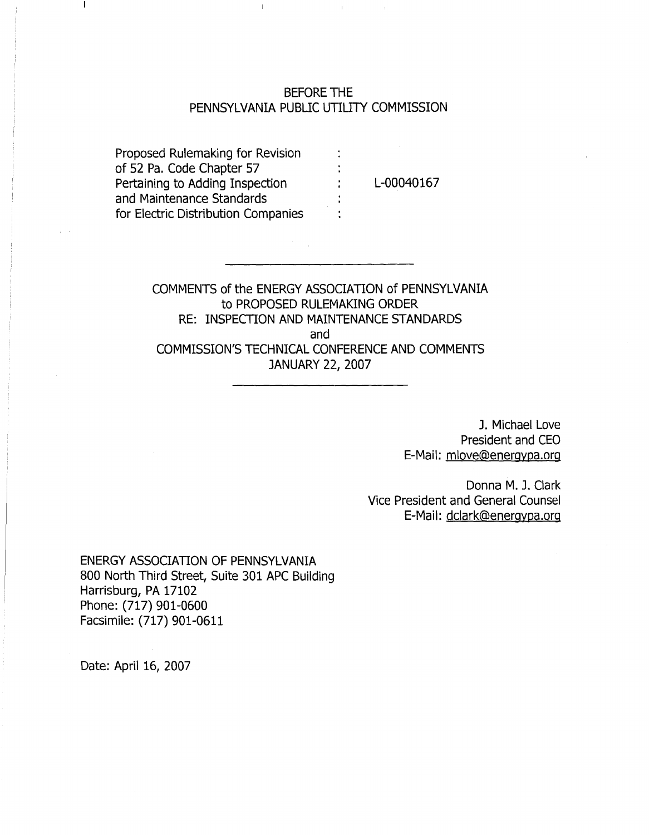# BEFORE THE PENNSYLVANIA PUBLIC UTILITY COMMISSION

 $\ddot{\phantom{a}}$ 

Proposed Rulemaking for Revision of 52 Pa. Code Chapter 57 Pertaining to Adding Inspection and Maintenance Standards for Electric Distribution Companies

 $\mathbf{I}$ 

L-00040167

COMMENTS of the ENERGY ASSOCIATION of PENNSYLVANIA to PROPOSED RULEMAKING ORDER RE: INSPECTION AND MAINTENANCE STANDARDS and COMMISSION'S TECHNICAL CONFERENCE AND COMMENTS JANUARY 22, 2007

> J. Michael Love President and CEO E-Mail: mlove@energypa.org

Donna M. J. Clark Vice President and General Counsel E-Mail: dclark@energypa.org

ENERGY ASSOCIATION OF PENNSYLVANIA 800 North Third Street, Suite 301 APC Building Harrisburg, PA 17102 Phone: (717) 901-0600 Facsimile: (717) 901-0611

Date: April 16, 2007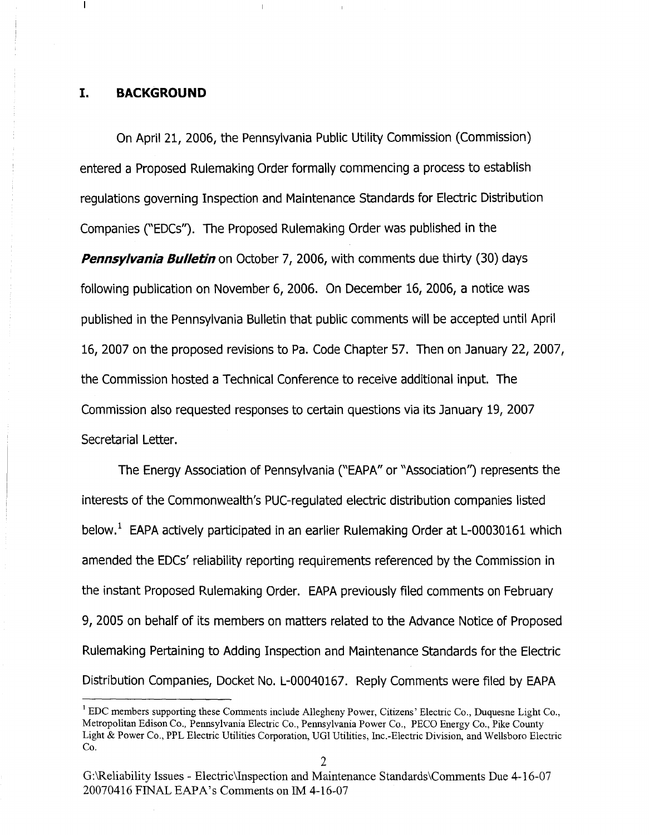### **I. BACKGROUND**

 $\mathbf{I}$ 

On April 21, 2006, the Pennsylvania Public Utility Commission (Commission) entered a Proposed Rulemaking Order formally commencing a process to establish regulations governing Inspection and Maintenance Standards for Electric Distribution Companies ("EDCs"). The Proposed Rulemaking Order was published in the *Pennsylvania Bulletin* on October 7, 2006, with comments due thirty (30) days following publication on November 6, 2006. On December 16, 2006, a notice was published in the Pennsylvania Bulletin that public comments will be accepted until April 16, 2007 on the proposed revisions to Pa. Code Chapter 57. Then on January 22, 2007, the Commission hosted a Technical Conference to receive additional input. The Commission also requested responses to certain questions via its January 19, 2007 Secretarial Letter.

The Energy Association of Pennsylvania ("EAPA" or "Association'') represents the interests of the Commonwealth's PUC-regulated electric distribution companies listed below.<sup>1</sup> EAPA actively participated in an earlier Rulemaking Order at L-00030161 which amended the EDCs'reliability reporting requirements referenced by the Commission in the instant Proposed Rulemaking Order. EAPA previously filed comments on February 9, 2005 on behalf of its members on matters related to the Advance Notice of Proposed Rulemaking Pertaining to Adding Inspection and Maintenance Standards for the Electric Distribution Companies, Docket No. L-00040167. Reply Comments were filed by EAPA

<sup>&</sup>lt;sup>1</sup> EDC members supporting these Comments include Allegheny Power, Citizens' Electric Co., Duquesne Light Co., Metropolitan Edison Co., Pennsylvania Electric Co., Pennsylvania Power Co., PECO Energy Co., Pike County Light & Power Co., PPL Electric Utilities Corporation, UGI Utilities, Inc.-Electric Division, and Wellsboro Electric Co.

G:\Reliability Issues - Electric\Inspection and Maintenance Standards\Comments Due 4-16-07 20070416 FINAL EAPA's Comments on IM 4-16-07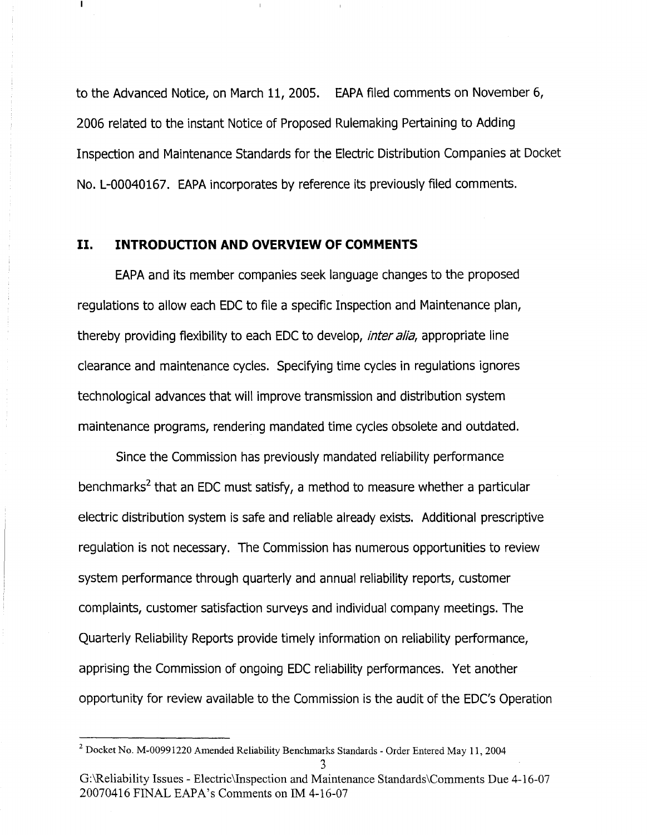to the Advanced Notice, on March 11, 2005. EAPA filed comments on November 6, 2006 related to the instant Notice of Proposed Rulemaking Pertaining to Adding Inspection and Maintenance Standards for the Electric Distribution Companies at Docket No. L-00040167. EAPA incorporates by reference its previously filed comments.

## **II. INTRODUCTION AND OVERVIEW OF COMMENTS**

Т

EAPA and its member companies seek language changes to the proposed regulations to allow each EDC to file a specific Inspection and Maintenance plan, thereby providing flexibility to each EDC to develop, *inter alia*, appropriate line clearance and maintenance cycles. Specifying time cycles in regulations ignores technological advances that will improve transmission and distribution system maintenance programs, rendering mandated time cycles obsolete and outdated.

Since the Commission has previously mandated reliability performance benchmarks<sup>2</sup> that an EDC must satisfy, a method to measure whether a particular electric distribution system is safe and reliable already exists. Additional prescriptive regulation is not necessary. The Commission has numerous opportunities to review system performance through quarterly and annual reliability reports, customer complaints, customer satisfaction surveys and individual company meetings. The Quarterly Reliability Reports provide timely information on reliability performance, apprising the Commission of ongoing EDC reliability performances. Yet another opportunity for review available to the Commission is the audit of the EDC's Operation

<sup>&</sup>lt;sup>2</sup> Docket No. M-00991220 Amended Reliability Benchmarks Standards - Order Entered May 11, 2004 3

G:\Re1iability Issues - Electric\Inspection and Maintenance Standards\Comments Due 4-16-07 20070416 FINAL EAPA's Comments on 1M4-16-07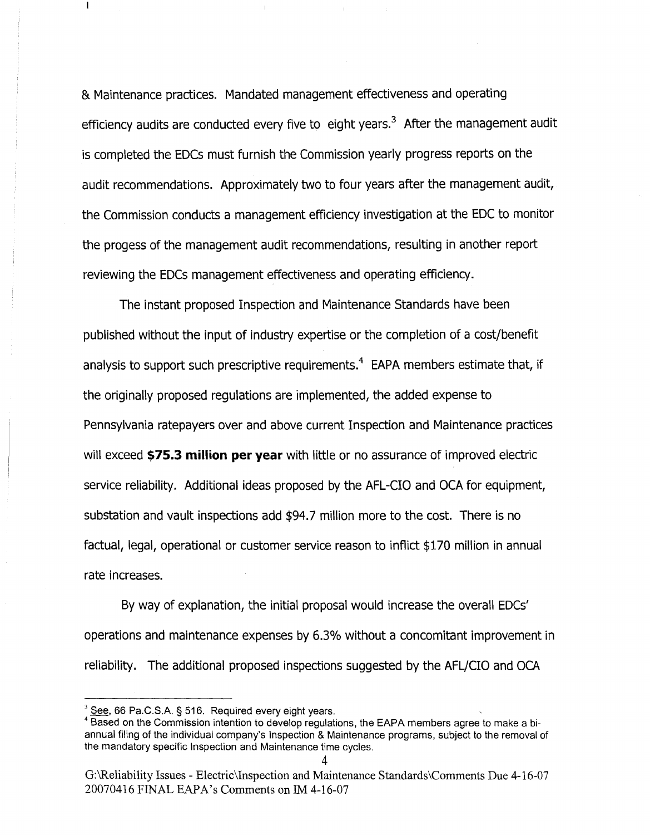& Maintenance practices. Mandated management effectiveness and operating efficiency audits are conducted every five to eight years. $3$  After the management audit is completed the EDCs must furnish the Commission yearly progress reports on the audit recommendations. Approximately two to four years after the management audit, the Commission conducts a management efficiency investigation at the EDC to monitor the progess of the management audit recommendations, resulting in another report reviewing the EDCs management effectiveness and operating efficiency.

The instant proposed Inspection and Maintenance Standards have been published without the input of industry expertise or the completion of a cost/benefit analysis to support such prescriptive requirements.<sup>4</sup> EAPA members estimate that, if the originally proposed regulations are implemented, the added expense to Pennsylvania ratepayers over and above current Inspection and Maintenance practices will exceed **\$15.3 million per year** with little or no assurance of improved electric service reliability. Additional ideas proposed by the AFL-CIO and OCA for equipment, substation and vault inspections add \$94.7 million more to the cost. There is no factual, legal, operational or customer service reason to inflict \$170 million in annual rate increases.

By way of explanation, the initial proposal would increase the overall EDCs' operations and maintenance expenses by 6.3% without a concomitant improvement in reliability. The additional proposed inspections suggested by the AFL/CIO and OCA

 $\mathbf{I}$ 

 $3$  See, 66 Pa.C.S.A. § 516. Required every eight years.

<sup>&</sup>lt;sup>4</sup> Based on the Commission intention to develop regulations, the EAPA members agree to make a biannual filing of the individual company's Inspection & Maintenance programs, subject to the removal of the mandatory specific Inspection and Maintenance time cycles.

G:\Reliability Issues - Electric\Inspection and Maintenance Standards\Comments Due 4-16-07 20070416 FINAL EAPA's Comments on 1M4-16-07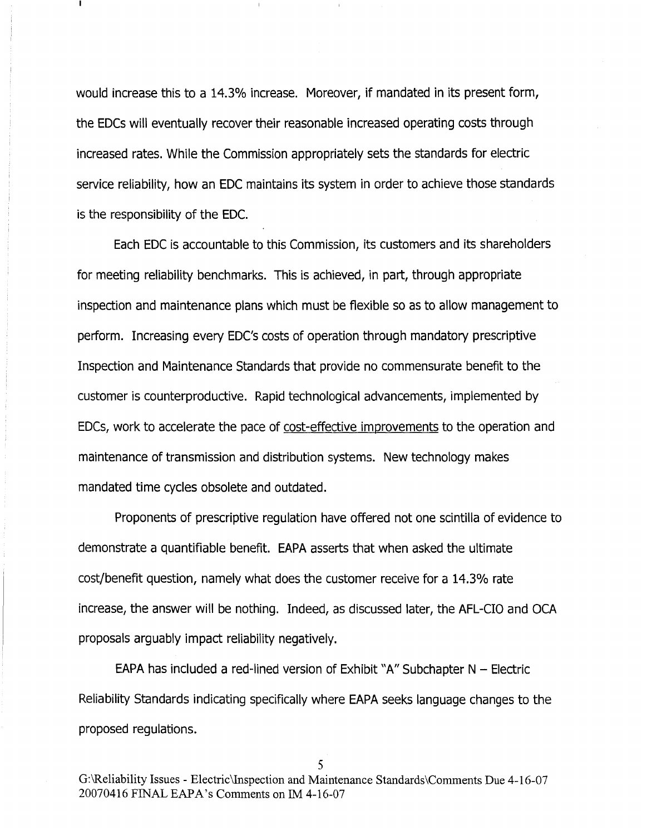would increase this to a 14.3% increase. Moreover, if mandated in its present form, the EDCs will eventually recover their reasonable increased operating costs through increased rates. While the Commission appropriately sets the standards for electric service reliability, how an EDC maintains its system in order to achieve those standards is the responsibility of the EDC.

Each EDC is accountable to this Commission, its customers and its shareholders for meeting reliability benchmarks. This is achieved, in part, through appropriate inspection and maintenance plans which must be flexible so as to allow management to perform. Increasing every EDC's costs of operation through mandatory prescriptive Inspection and Maintenance Standards that provide no commensurate benefit to the customer is counterproductive. Rapid technological advancements, implemented by EDCs, work to accelerate the pace of cost-effective improvements to the operation and maintenance of transmission and distribution systems. New technology makes mandated time cycles obsolete and outdated.

Proponents of prescriptive regulation have offered not one scintilla of evidence to demonstrate a quantifiable benefit. EAPA asserts that when asked the ultimate cost/benefit question, namely what does the customer receive for a 14.3% rate increase, the answer will be nothing. Indeed, as discussed later, the AFL-CIO and OCA proposals arguably impact reliability negatively.

EAPA has included a red-lined version of Exhibit "A" Subchapter  $N -$  Electric Reliability Standards indicating specifically where EAPA seeks language changes to the proposed regulations.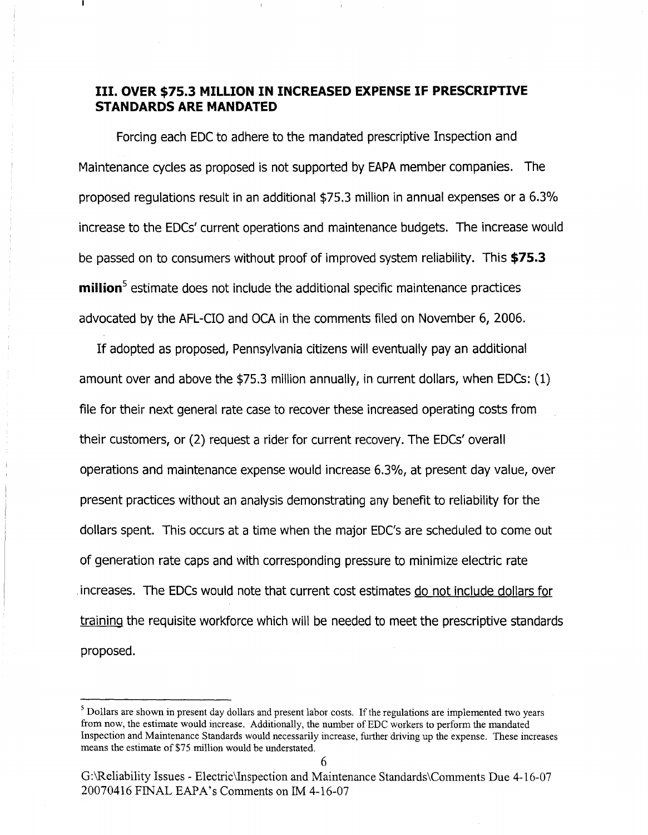# **III. OVER\$75.3 MILLIONIN INCREASED EXPENSEIF PRESCRIPTIVE STANDARDS ARE MANDATED**

Forcing each EDC to adhere to the mandated prescriptive Inspection and Maintenance cycles as proposed is not supported by EAPA member companies. The proposed regulations result in an additional \$75.3 millionin annual expenses or a 6.3% increase to the EDCs' current operations and maintenance budgets. The increase would be passed on to consumers without proof of improved system reliability. This **\$75.3 million**<sup>5</sup> estimate does not include the additional specific maintenance practices advocated by the AFL-CIO and OCA in the comments filed on November 6, 2006.

If adopted as proposed, Pennsylvania citizens will eventually pay an additional amount over and above the \$75.3 million annually, in current dollars, when EDCs:  $(1)$ file for their next general rate case to recover these increased operating costs from their customers, or (2) request a rider for current recovery. The EDCs'overall operations and maintenance expense would increase 6.3%, at present day value, over present practices without an analysis demonstrating any benefit to reliability for the dollars spent. This occurs at a time when the major EDC's are scheduled to come out of generation rate caps and with corresponding pressure to minimize electric rate . increases. The EDCswould note that current cost estimates do not include dollars for training the requisite workforce which will be needed to meet the prescriptive standards proposed.

 $<sup>5</sup>$  Dollars are shown in present day dollars and present labor costs. If the regulations are implemented two years</sup> from now, the estimate would increase. Additionally, the number of EDC workers to perform the mandated Inspection and Maintenance Standards would necessarily increase, further driving up the expense. These increases means the estimate of \$75 million would be understated.

G:\Reliability Issues -E1ectric\Inspection and Maintenance Standards\Comments Due 4-16-07 20070416 FINAL EAPA's Comments on IM 4-16-07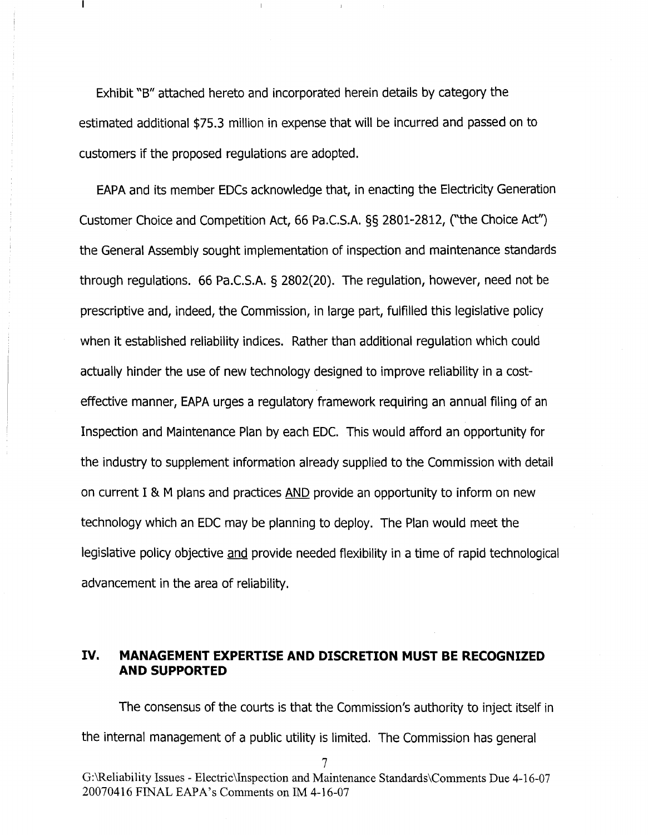Exhibit "B" attached hereto and incorporated herein details by category the estimated additional \$75.3 million in expense that will be incurred and passed on to customers if the proposed regulations are adopted.

EAPA and its member EDCs acknowledge that, in enacting the Electricity Generation Customer Choice and Competition Act, 66 Pa.C.S.A. §§ 2801-2812, ("the Choice Act") the General Assembly sought implementation of inspection and maintenance standards through regulations. 66 Pa.C.S.A. § 2802(20). The regulation, however, need not be prescriptive and, indeed, the Commission, in large part, fulfilled this legislative policy when it established reliability indices. Rather than additional regulation which could actually hinder the use of new technology designed to improve reliability in a costeffective manner, EAPA urges a regulatory framework requiring an annual filing of an Inspection and Maintenance Plan by each EDC. This would afford an opportunity for the industry to supplement information already supplied to the Commission with detail on current I & M plans and practices AND provide an opportunity to inform on new technology which an EDC may be planning to deploy. The Plan would meet the legislative policy objective and provide needed flexibility in a time of rapid technological advancement in the area of reliability.

## **IV. MANAGEMENT EXPERTISE AND DISCRETION MUST BE RECOGNIZED AND SUPPORTED**

The consensus of the courts is that the Commission's authority to inject itself in the internal management of a public utility is limited. The Commission has general

7

G:\Reliability Issues -Electric\Inspection and Maintenance Standards\Comments Due 4-16-07 20070416 FINAL EAPA's Comments on IM 4-16-07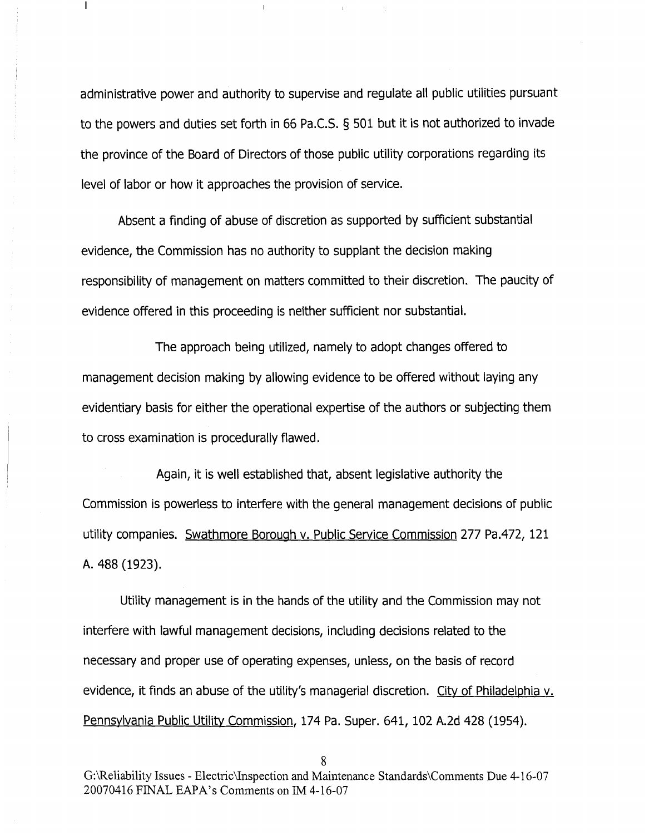administrative power and authority to supervise and regulate all public utilities pursuant to the powers and duties set forth in 66 Pa.C.S. § 501 but it is not authorized to invade the province of the Board of Directors of those public utility corporations regarding its level of labor or how it approaches the provision of service.

 $\mathbf{I}$ 

Absent a finding of abuse of discretion as supported by sufficient substantial evidence, the Commission has no authority to supplant the decision making responsibility of management on matters committed to their discretion. The paucity of evidence offered in this proceeding is neither sufficient nor substantial.

The approach being utilized, namely to adopt changes offered to management decision making by allowing evidence to be offered without laying any evidentiary basis for either the operational expertise of the authors or subjecting them to cross examination is procedurally flawed.

Again, it is well established that, absent legislative authority the Commission is powerless to interfere with the general management decisions of public utility companies. Swathmore Borough v. Public Service Commission 277 Pa.472, 121 A. 488 (1923).

Utility management is in the hands of the utility and the Commission may not interfere with lawful management decisions, including decisions related to the necessary and proper use of operating expenses, unless, on the basis of record evidence, it finds an abuse of the utility's managerial discretion. City of Philadelphia v. Pennsylvania Public Utility Commission, 174 Pa. Super. 641, 102 A.2d 428 (1954).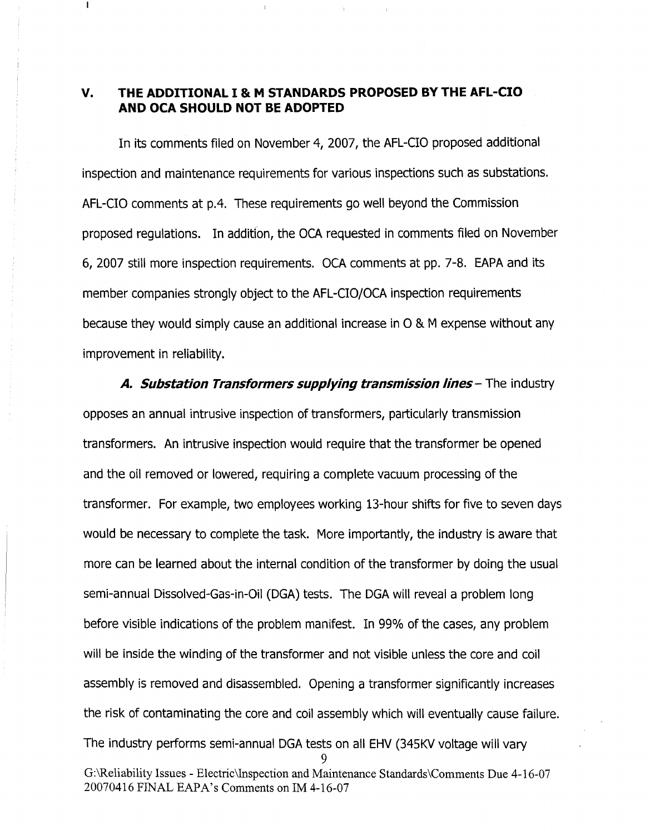## **v. THE ADDITIONAL** I & M **STANDARDS PROPOSED BY THE AFL-CIO AND OCA SHOULD NOT BE ADOPTED**

L

In its comments filed on November 4, 2007, the AFL-CIO proposed additional inspection and maintenance requirements for various inspections such as substations. AFL-CIO comments at p.4. These requirements go well beyond the Commission proposed regulations. In addition, the OCA requested in comments filed on November 6, 2007 still more inspection requirements. OCA comments at pp. 7-8. EAPA and its member companies strongly object to the AFL-CIO/OCA inspection requirements because they would simply cause an additional increase in  $O$  & M expense without any improvement in reliability.

*A. Substation Transformers supplying transmission lines* - The industry opposes an annual intrusive inspection of transformers, particularly transmission transformers. An intrusive inspection would require that the transformer be opened and the oil removed or lowered, requiring a complete vacuum processing of the transformer. For example, two employees working i3-hour shifts for five to seven days would be necessary to complete the task. More importantly, the industry is aware that more can be learned about the internal condition of the transformer by doing the usual semi-annual Dissolved-Gas-in-Oil (DGA) tests. The DGA will reveal a problem long before visible indications of the problem manifest. In 99% of the cases, any problem will be inside the winding of the transformer and not visible unless the core and coil assembly is removed and disassembled. Opening a transformer significantly increases the risk of contaminating the core and coil assembly which will eventually cause failure. The industry performs semi-annual DGA tests on all EHV (345KV voltage will vary 9 G:\Reliability Issues - Electric\Inspection and Maintenance Standards\Comments Due 4-16-07 20070416FINAL EAPA's Commentson 1M4-16-07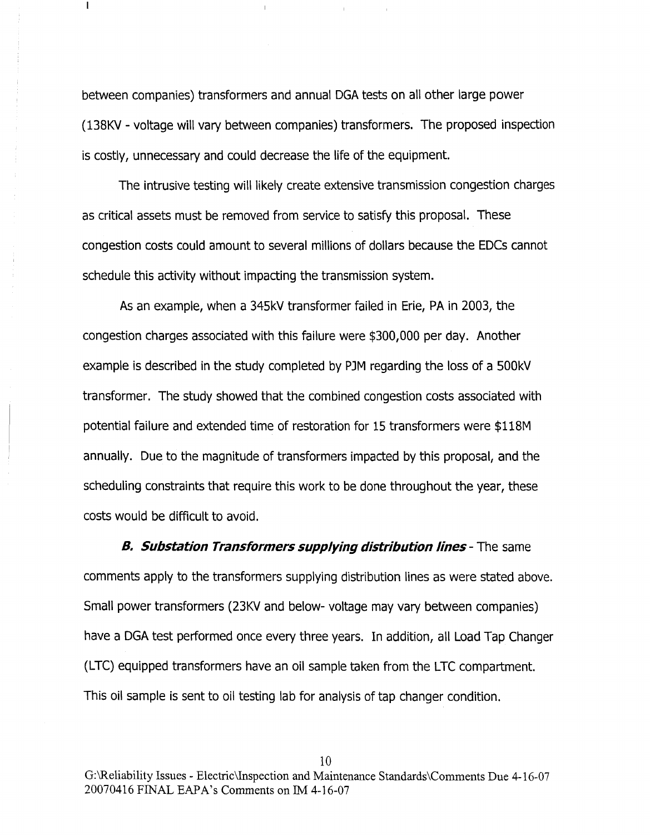between companies) transformers and annual DGA tests on all other large power (138KV- voltage will vary between companies) transformers. The proposed inspection is costly, unnecessary and could decrease the life of the equipment.

 $\mathbf{I}$ 

The intrusive testing will likely create extensive transmission congestion charges as critical assets must be removed from service to satisfy this proposal. These congestion costs could amount to several millions of dollars because the EDCs cannot schedule this activity without impacting the transmission system.

As an example, when a 345kV transformer failed in Erie, PA in 2003, the congestion charges associated with this failure were \$300,000 per day. Another example is described in the study completed by PJM regarding the loss of a 500kV transformer. The study showed that the combined congestion costs associated with potential failure and extended time of restoration for 15 transformers were \$118M annually. Due to the magnitude of transformers impacted by this proposal, and the scheduling constraints that require this work to be done throughout the year, these costs would be difficult to avoid.

*B. Substation Transformers supplying distribution lines* - The same comments apply to the transformers supplying distribution lines as were stated above. Small power transformers (23KV and below- voltage may vary between companies) have a DGA test performed once every three years. In addition, all Load Tap Changer (LTC) equipped transformers have an oil sample taken from the LTC compartment. This oil sample is sent to oil testing lab for analysis of tap changer condition.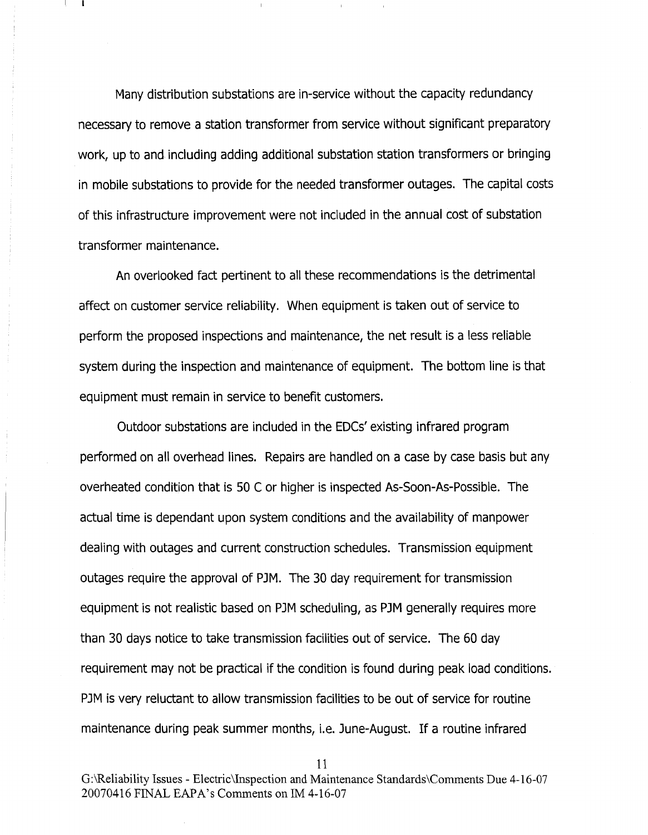Many distribution substations are in-service without the capacity redundancy necessary to remove a station transformer from service without significant preparatory work, up to and including adding additional substation station transformers or bringing in mobile substations to provide for the needed transformer outages. The capital costs of this infrastructure improvement were not included in the annual cost of substation transformer maintenance.

An overlooked fact pertinent to all these recommendations is the detrimental affect on customer service reliability. When equipment is taken out of service to perform the proposed inspections and maintenance, the net result is a less reliable system during the inspection and maintenance of equipment. The bottom line is that equipment must remain in service to benefit customers.

Outdoor substations are included in the EDCs' existing infrared program performed on all overhead lines. Repairs are handled on a case by case basis but any overheated condition that is 50 C or higher is inspected As-Soon-As-Possible. The actual time is dependant upon system conditions and the availability of manpower dealing with outages and current construction schedules. Transmission equipment outages require the approval of PJM. The 30 day requirement for transmission equipment is not realistic based on PJM scheduling, as PJM generally requires more than <sup>30</sup> days notice to take transmission facilities out of service. The 60 day requirement may not be practical if the condition is found during peak load conditions. PJM is very reluctant to allow transmission facilities to be out of service for routine maintenance during peak summer months, i.e. June-August. If a routine infrared

11

G:\Reliability Issues - Electric\Inspection and Maintenance Standards\Comments Due 4-16-07 20070416FINALEAPA's Comments on 1M4-16-07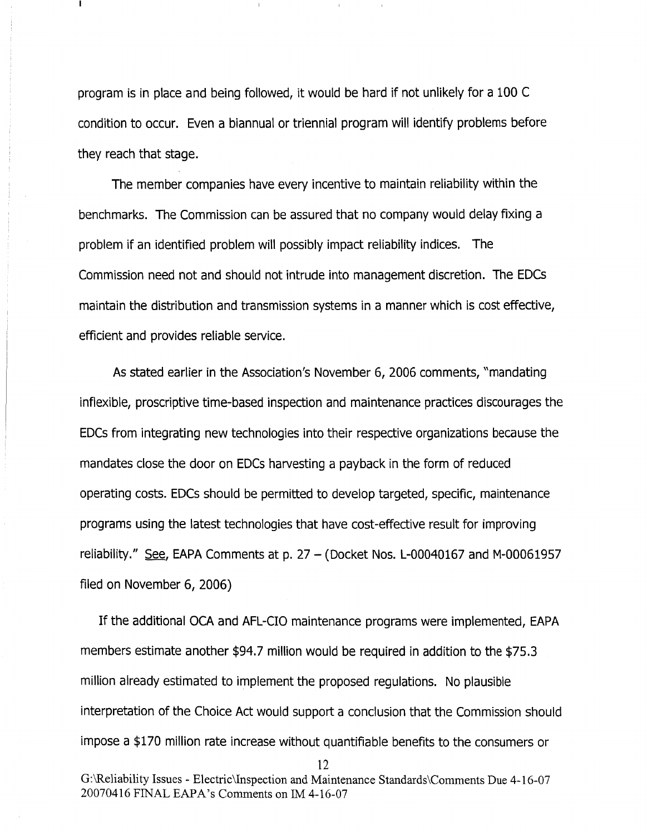program is in place and being followed, it would be hard if not unlikely for a 100 C condition to occur. Even a biannual or triennial program will identify problems before they reach that stage.

The member companies have every incentive to maintain reliability within the benchmarks. The Commission can be assured that no company would delay fixing a problem if an identified problem will possibly impact reliability indices. The Commission need not and should not intrude into management discretion. The EDCs maintain the distribution and transmission systems in a manner which is cost effective, efficient and provides reliable service.

As stated earlier in the Association's November 6, 2006 comments, "mandating inflexible, proscriptive time-based inspection and maintenance practices discourages the EDCs from integrating new technologies into their respective organizations because the mandates close the door on EDCs harvesting a payback in the form of reduced operating costs. EDCs should be permitted to develop targeted, specific, maintenance programs using the latest technologies that have cost-effective result for improving reliability." See, EAPA Comments at p.  $27 - ($  Docket Nos. L-00040167 and M-00061957 filed on November 6, 2006)

If the additional OCA and AFL-CIO maintenance programs were implemented, EAPA members estimate another \$94.7 million would be required in addition to the \$75.3 million already estimated to implement the proposed regulations. No plausible interpretation of the Choice Act would support a conclusion that the Commission should impose a \$170 million rate increase without quantifiable benefits to the consumers or

G:\Reliability Issues - Electric\Inspection and Maintenance Standards\Comments Due 4-16-07 20070416 FINAL EAPA's Comments on 1M4-16-07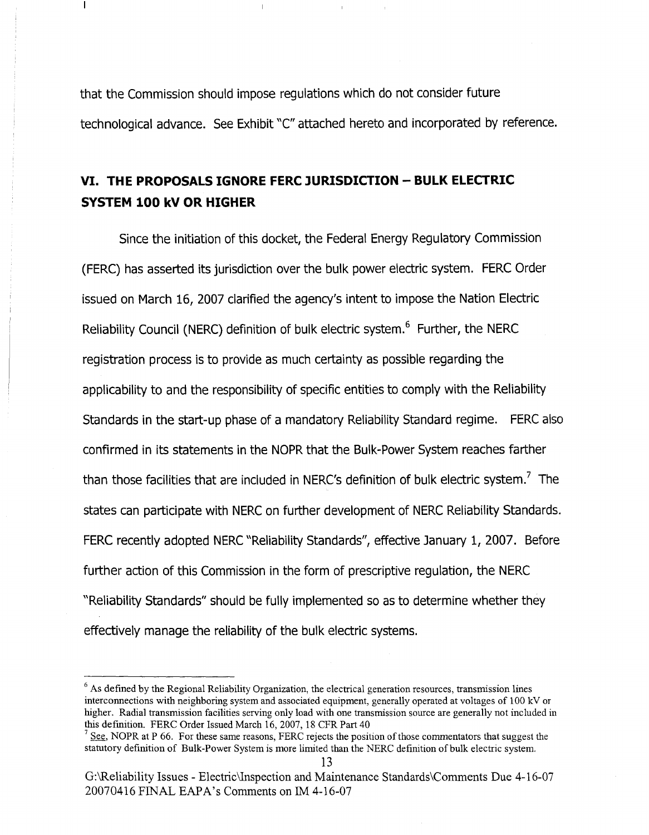that the Commission should impose regulations which do not consider future technological advance. See Exhibit "c" attached hereto and incorporated by reference.

# **VI. THE PROPOSALS IGNORE FERC JURISDICTION - BULK ELECTRIC SYSTEM 100 kV OR HIGHER**

 $\mathbf{I}$ 

Since the initiation of this docket, the Federal Energy Regulatory Commission (FERC) has asserted its jurisdiction over the bulk power electric system. FERC Order issued on March 16, 2007 clarified the agency's intent to impose the Nation Electric Reliability Council (NERC) definition of bulk electric system.<sup>6</sup> Further, the NERC registration process is to provide as much certainty as possible regarding the applicability to and the responsibility of specific entities to comply with the Reliability Standards in the start-up phase of a mandatory Reliability Standard regime. FERC also confirmed in its statements in the NOPR that the Bulk-Power System reaches farther than those facilities that are included in NERC's definition of bulk electric system.<sup>7</sup> The states can participate with NERC on further development of NERC Reliability Standards. FERC recently adopted NERC "Reliability Standards", effective January 1, 2007. Before further action of this Commission in the form of prescriptive regulation, the NERC "Reliability Standards" should be fully implemented so as to determine whether they effectively manage the reliability of the bulk electric systems.

 $6$  As defined by the Regional Reliability Organization, the electrical generation resources, transmission lines interconnections with neighboring system and associated equipment, generally operated at voltages of 100 kV or higher. Radial transmission facilities serving only load with one transmission source are generally not included in this defmition. FERC Order Issued March 16, 2007, 18 CFR Part 40

 $7<sup>7</sup>$  See, NOPR at P 66. For these same reasons, FERC rejects the position of those commentators that suggest the statutory definition of Bulk-Power System is more limited than the NERC definition of bulk electric system.

G:\Reliability Issues - Electric\Inspection and Maintenance Standards\Comments Due 4-16-07 20070416 FINAL EAPA's Comments on IM 4-16-07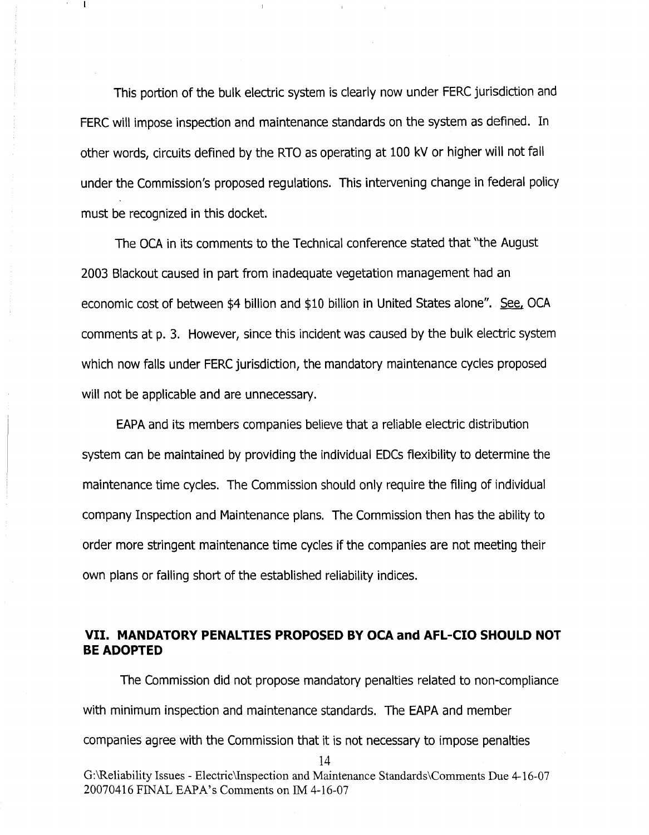This portion of the bulk electric system is clearly now under FERC jurisdiction and FERC will impose inspection and maintenance standards on the system as defined. In other words, circuits defined by the RTO as operating at 100 kV or higher will not fall under the Commission's proposed regulations. This intervening change in federal policy must be recognized in this docket.

The DCA in its comments to the Technical conference stated that "the August 2003 Blackout caused in part from inadequate vegetation management had an economic cost of between \$4 billion and \$10 billion in United States alone". See, OCA comments at p. 3. However, since this incident was caused by the bulk electric system which now falls under FERC jurisdiction, the mandatory maintenance cycles proposed will not be applicable and are unnecessary.

EAPA and its members companies believe that a reliable electric distribution system can be maintained by providing the individual EDCs flexibility to determine the maintenance time cycles. The Commission should only require the filing of individual company Inspection and Maintenance plans. The Commission then has the ability to order more stringent maintenance time cycles if the companies are not meeting their own plans or falling short of the established reliability indices.

# **VII. MANDATORY PENALTIES PROPOSED BY OCA and AFL-CIO SHOULD NOT BE ADOPTED**

The Commission did not propose mandatory penalties related to non-compliance with minimum inspection and maintenance standards. The EAPA and member companies agree with the Commission that it is not necessary to impose penalties 14 G:\Reliability Issues - Electric\Inspection and Maintenance Standards\Comments Due 4-16-07 20070416 FINAL EAPA's Comments on IM 4-16-07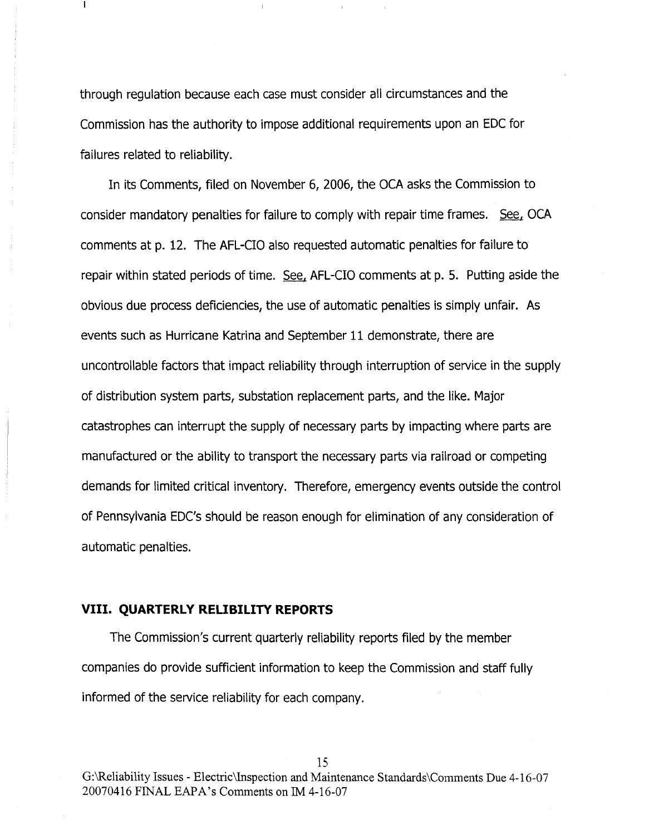through regulation because each case must consider all circumstances and the Commission has the authority to impose additional requirements upon an EDC for failures related to reliability.

 $\mathbf{I}$ 

In its Comments, filed on November 6, 2006, the OCA asks the Commission to consider mandatory penalties for failure to comply with repair time frames. See, OCA comments at p. 12. The AFL-CIO also requested automatic penalties for failure to repair within stated periods of time. See, AFL-CIO comments at p. 5. Putting aside the obvious due process deficiencies, the use of automatic penalties is simply unfair. As events such as Hurricane Katrina and September 11 demonstrate, there are uncontrollable factors that impact reliability through interruption of service in the supply of distribution system parts, substation replacement parts, and the like. Major catastrophes can interrupt the supply of necessary parts by impacting where parts are manufactured or the ability to transport the necessary parts via railroad or competing demands for limited critical inventory. Therefore, emergency events outside the control of Pennsylvania EDC's should be reason enough for elimination of any consideration of automatic penalties.

## **VIII. QUARTERLY RELIBILITY REPORTS**

The Commission's current quarterly reliability reports filed by the member companies do provide sufficient information to keep the Commission and staff fully informed of the service reliability for each company.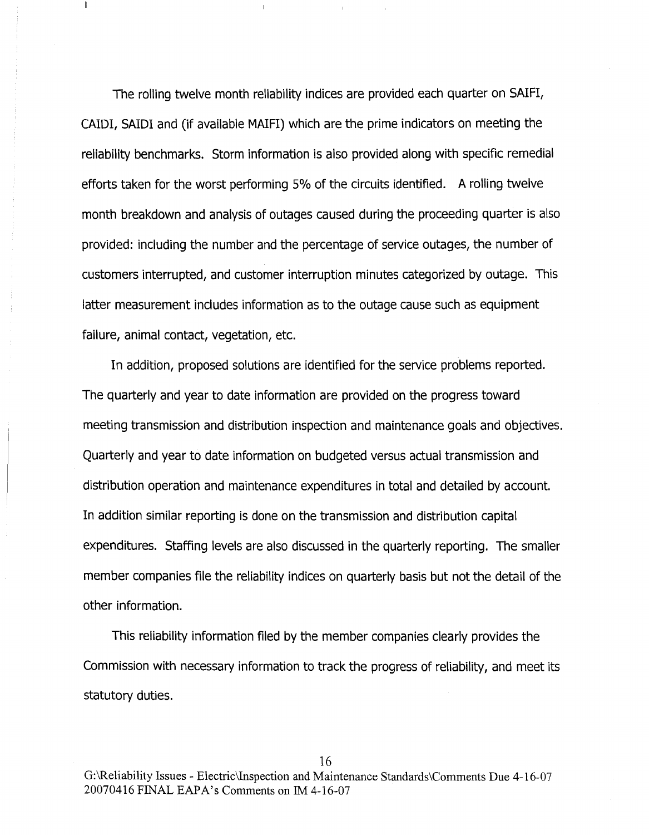The rolling twelve month reliability indices are provided each quarter on SAlFl, CAlDl, SAlOl and (if available MAlFl)which are the prime indicators on meeting the reliability benchmarks. Storm information is also provided along with specific remedial efforts taken for the worst performing 5% of the circuits identified. A rolling twelve month breakdown and analysis of outages caused during the proceeding quarter is also provided: including the number and the percentage of service outages, the number of customers interrupted, and customer interruption minutes categorized by outage. This latter measurement includes information as to the outage cause such as equipment failure, animal contact, vegetation, etc.

 $\mathbf{I}$ 

In addition, proposed solutions are identified for the service problems reported. The quarterly and year to date information are provided on the progress toward meeting transmission and distribution inspection and maintenance goals and objectives. Quarterly and year to date information on budgeted versus actual transmission and distribution operation and maintenance expenditures in total and detailed by account. In addition similar reporting is done on the transmission and distribution capital expenditures. Staffing levels are also discussed in the quarterly reporting. The smaller member companies file the reliability indices on quarterly basis but not the detail of the other information.

This reliability information filed by the member companies clearly provides the Commission with necessary information to track the progress of reliability, and meet its statutory duties.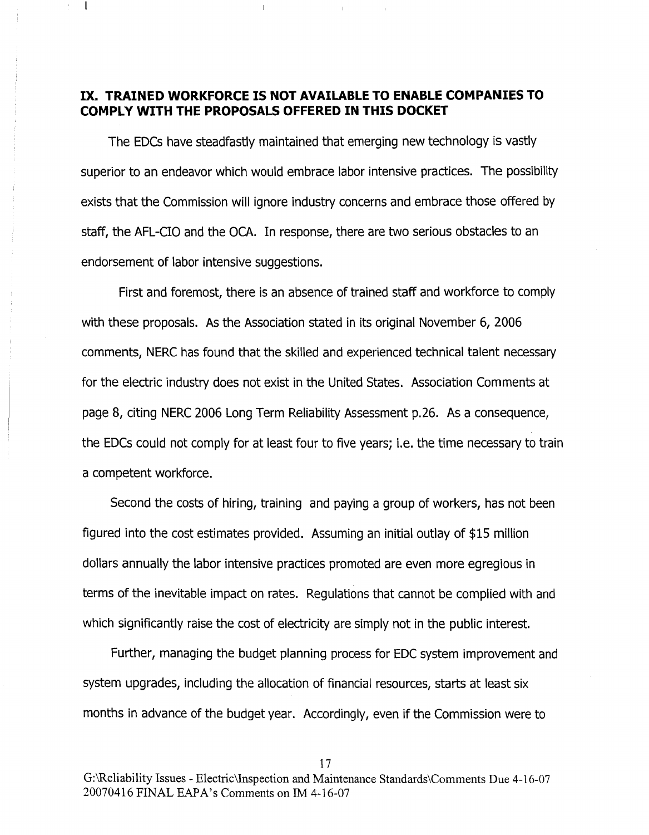## **IX. TRAINED WORKFORCE IS NOT AVAILABLE TO ENABLE COMPANIES TO COMPLY WITH THE PROPOSALS OFFERED IN THIS DOCKET**

 $\mathbf{I}$ 

The EDCs have steadfastly maintained that emerging new technology is vastly superior to an endeavor which would embrace labor intensive practices. The possibility exists that the Commission will ignore industry concerns and embrace those offered by staff, the AFL-CIO and the OCA. In response, there are two serious obstacles to an endorsement of labor intensive suggestions.

First and foremost, there is an absence of trained staff and workforce to comply with these proposals. As the Association stated in its original November 6, 2006 comments, NERC has found that the skilled and experienced technical talent necessary for the electric industry does not exist in the United States. Association Comments at page 8, citing NERC 2006 Long Term Reliability Assessment p.26. As a consequence, the EDCs could not comply for at least four to five years; i.e. the time necessary to train a competent workforce.

Second the costs of hiring, training and paying a group of workers, has not been figured into the cost estimates provided. Assuming an initial outlay of \$15 million dollars annually the labor intensive practices promoted are even more egregious in terms of the inevitable impact on rates. Regulations that cannot be complied with and which significantly raise the cost of electricity are simply not in the public interest.

Further, managing the budget planning process for EDC system improvement and system upgrades, including the allocation of financial resources, starts at least six months in advance of the budget year. Accordingly, even if the Commission were to

17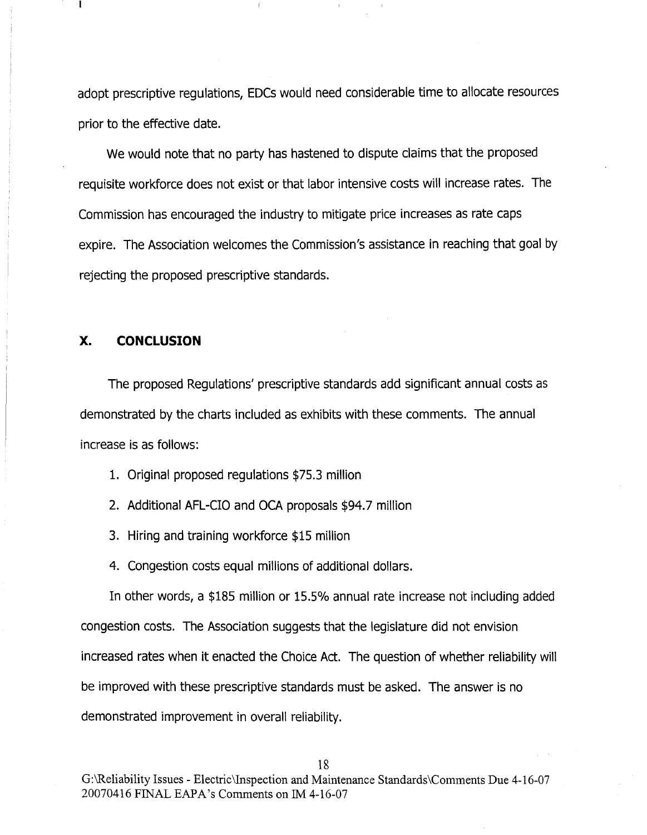adopt prescriptive regulations, EDCs would need considerable time to allocate resources prior to the effective date.

We would note that no party has hastened to dispute claims that the proposed requisite workforce does not exist or that labor intensive costs will increase rates. The Commission has encouraged the industry to mitigate price increases as rate caps expire. The Association welcomes the Commission's assistance in reaching that goal by rejecting the proposed prescriptive standards.

#### **x. CONCLUSION**

The proposed Regulations' prescriptive standards add significant annual costs as demonstrated by the charts included as exhibits with these comments. The annual increase is as follows:

1. Original proposed regulations \$75.3 million

2. Additional AFL-CIO and DCA proposals \$94.7 million

3. Hiring and training workforce \$15 million

4. Congestion costs equal millions of additional dollars.

In other words, a \$185 million or 15.5% annual rate increase not including added congestion costs. The Association suggests that the legislature did not envision increased rates when it enacted the Choice Act. The question of whether reliability will be improved with these prescriptive standards must be asked. The answer is no demonstrated improvement in overall reliability.

G:\Reliability Issues - Electric\Inspection and Maintenance Standards\Comments Due 4-16-07 20070416 FINAL EAPA's Comments on 1M4-16-07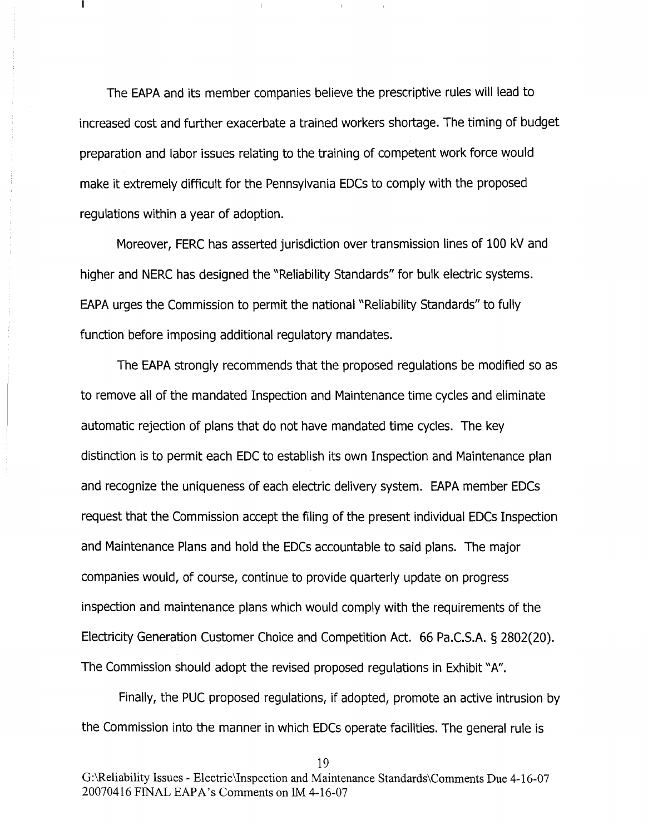The EAPA and its member companies believe the prescriptive rules will lead to increased cost and further exacerbate a trained workers shortage. The timing of budget preparation and labor issues relating to the training of competent work force would make it extremely difficult for the Pennsylvania EDCs to comply with the proposed regulations within a year of adoption.

Moreover, FERC has asserted jurisdiction over transmission lines of 100 kV and higher and NERC has designed the "Reliability Standards" for bulk electric systems. EAPA urges the Commission to permit the national "Reliability Standards" to fully function before imposing additional regulatory mandates.

The EAPA strongly recommends that the proposed regulations be modified so as to remove all of the mandated Inspection and Maintenance time cycles and eliminate automatic rejection of plans that do not have mandated time cycles. The key distinction is to permit each EDC to establish its own Inspection and Maintenance plan and recognize the uniqueness of each electric delivery system. EAPA member EDCs request that the Commission accept the filing of the present individual EDCs Inspection and Maintenance Plans and hold the EDCs accountable to said plans. The major companies would, of course, continue to provide quarterly update on progress inspection and maintenance plans which would comply with the requirements of the Electricity Generation Customer Choice and Competition Act. 66 Pa.C.S.A. § 2802(20). The Commission should adopt the revised proposed regulations in Exhibit "A".

Finally, the PUC proposed regulations, if adopted, promote an active intrusion by the Commission into the manner in which EDCs operate facilities. The general rule is